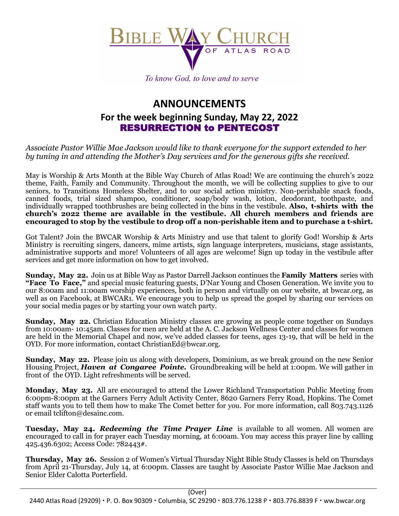

To know God, to love and to serve

## **ANNOUNCEMENTS For the week beginning Sunday, May 22, 2022** RESURRECTION to PENTECOST

*Associate Pastor Willie Mae Jackson would like to thank everyone for the support extended to her by tuning in and attending the Mother's Day services and for the generous gifts she received.* 

May is Worship & Arts Month at the Bible Way Church of Atlas Road! We are continuing the church's 2022 theme, Faith, Family and Community. Throughout the month, we will be collecting supplies to give to our seniors, to Transitions Homeless Shelter, and to our social action ministry. Non-perishable snack foods, canned foods, trial sized shampoo, conditioner, soap/body wash, lotion, deodorant, toothpaste, and individually wrapped toothbrushes are being collected in the bins in the vestibule. **Also, t-shirts with the church's 2022 theme are available in the vestibule. All church members and friends are encouraged to stop by the vestibule to drop off a non-perishable item and to purchase a t-shirt.**

Got Talent? Join the BWCAR Worship & Arts Ministry and use that talent to glorify God! Worship & Arts Ministry is recruiting singers, dancers, mime artists, sign language interpreters, musicians, stage assistants, administrative supports and more! Volunteers of all ages are welcome! Sign up today in the vestibule after services and get more information on how to get involved.

**Sunday, May 22.** Join us at Bible Way as Pastor Darrell Jackson continues the **Family Matters** series with **"Face To Face,"** and special music featuring guests, D'Nar Young and Chosen Generation. We invite you to our 8:00am and 11:00am worship experiences, both in person and virtually on our website, at bwcar.org, as well as on Facebook, at BWCAR1. We encourage you to help us spread the gospel by sharing our services on your social media pages or by starting your own watch party.

**Sunday, May 22.** Christian Education Ministry classes are growing as people come together on Sundays from 10:00am- 10:45am. Classes for men are held at the A. C. Jackson Wellness Center and classes for women are held in the Memorial Chapel and now, we've added classes for teens, ages 13-19, that will be held in the OYD. For more information, contact ChristianEd@bwcar.org.

**Sunday, May 22.** Please join us along with developers, Dominium, as we break ground on the new Senior Housing Project, *Haven at Congaree Pointe.* Groundbreaking will be held at 1:00pm. We will gather in front of the OYD. Light refreshments will be served.

**Monday, May 23.** All are encouraged to attend the Lower Richland Transportation Public Meeting from 6:00pm-8:00pm at the Garners Ferry Adult Activity Center, 8620 Garners Ferry Road, Hopkins. The Comet staff wants you to tell them how to make The Comet better for you. For more information, call 803.743.1126 or email tclifton@desainc.com.

**Tuesday, May 24.** *Redeeming the Time Prayer Line* is available to all women. All women are encouraged to call in for prayer each Tuesday morning, at 6:00am. You may access this prayer line by calling 425.436.6302; Access Code: 782443#.

**Thursday, May 26.** Session 2 of Women's Virtual Thursday Night Bible Study Classes is held on Thursdays from April 21-Thursday, July 14, at 6:00pm. Classes are taught by Associate Pastor Willie Mae Jackson and Senior Elder Calotta Porterfield.